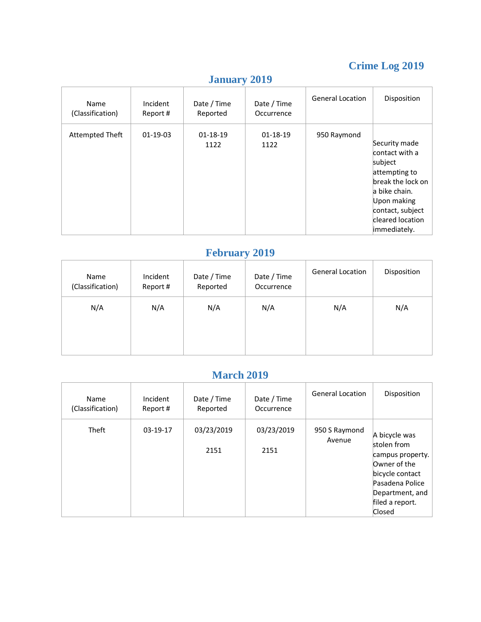# **Crime Log 2019**

| Name<br>(Classification) | Incident<br>Report# | Date / Time<br>Reported | Date / Time<br>Occurrence | <b>General Location</b> | Disposition                                                                                                                                                               |
|--------------------------|---------------------|-------------------------|---------------------------|-------------------------|---------------------------------------------------------------------------------------------------------------------------------------------------------------------------|
| Attempted Theft          | $01-19-03$          | 01-18-19<br>1122        | $01 - 18 - 19$<br>1122    | 950 Raymond             | Security made<br>contact with a<br>subject<br>attempting to<br>break the lock on<br>la bike chain.<br>Upon making<br>contact, subject<br>cleared location<br>immediately. |

# **January 2019**

## **February 2019**

| Incident<br>Report# | Date / Time<br>Reported | Date / Time<br>Occurrence | <b>General Location</b> | Disposition |
|---------------------|-------------------------|---------------------------|-------------------------|-------------|
| N/A                 | N/A                     | N/A                       | N/A                     | N/A         |
|                     |                         |                           |                         |             |
|                     |                         |                           |                         |             |

#### **March 2019**

| Name<br>(Classification) | Incident<br>Report# | Date / Time<br>Reported | Date / Time<br>Occurrence | <b>General Location</b> | Disposition                                                                                                                                            |
|--------------------------|---------------------|-------------------------|---------------------------|-------------------------|--------------------------------------------------------------------------------------------------------------------------------------------------------|
| <b>Theft</b>             | $03-19-17$          | 03/23/2019<br>2151      | 03/23/2019<br>2151        | 950 S Raymond<br>Avenue | A bicycle was<br>stolen from<br>campus property.<br>Owner of the<br>bicycle contact<br>Pasadena Police<br>Department, and<br>filed a report.<br>Closed |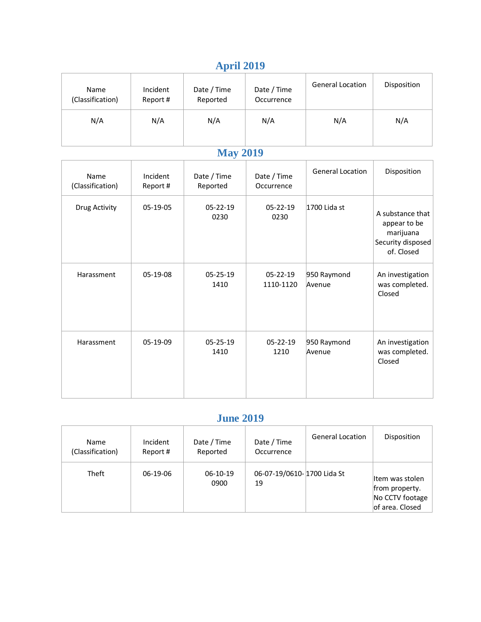# **April 2019**

| $1 - 1$ $1 - 1$ $1 - 1$  |                      |                         |                           |                         |             |  |  |  |
|--------------------------|----------------------|-------------------------|---------------------------|-------------------------|-------------|--|--|--|
| Name<br>(Classification) | Incident<br>Report # | Date / Time<br>Reported | Date / Time<br>Occurrence | <b>General Location</b> | Disposition |  |  |  |
| N/A                      | N/A                  | N/A                     | N/A                       | N/A                     | N/A         |  |  |  |

# **May 2019**

| Name<br>(Classification) | Incident<br>Report# | Date / Time<br>Reported | Date / Time<br>Occurrence   | <b>General Location</b> | Disposition                                                                      |
|--------------------------|---------------------|-------------------------|-----------------------------|-------------------------|----------------------------------------------------------------------------------|
| Drug Activity            | 05-19-05            | $05 - 22 - 19$<br>0230  | $05 - 22 - 19$<br>0230      | 1700 Lida st            | A substance that<br>appear to be<br>marijuana<br>Security disposed<br>of. Closed |
| Harassment               | 05-19-08            | $05 - 25 - 19$<br>1410  | $05 - 22 - 19$<br>1110-1120 | 950 Raymond<br>Avenue   | An investigation<br>was completed.<br>Closed                                     |
| Harassment               | 05-19-09            | $05 - 25 - 19$<br>1410  | $05 - 22 - 19$<br>1210      | 950 Raymond<br>Avenue   | An investigation<br>was completed.<br>Closed                                     |

## **June 2019**

| Name<br>(Classification) | Incident<br>Report # | Date / Time<br>Reported | Date / Time<br>Occurrence        | <b>General Location</b> | Disposition                                                              |
|--------------------------|----------------------|-------------------------|----------------------------------|-------------------------|--------------------------------------------------------------------------|
| Theft                    | 06-19-06             | $06-10-19$<br>0900      | 06-07-19/0610-1700 Lida St<br>19 |                         | lltem was stolen<br>from property.<br>No CCTV footage<br>of area. Closed |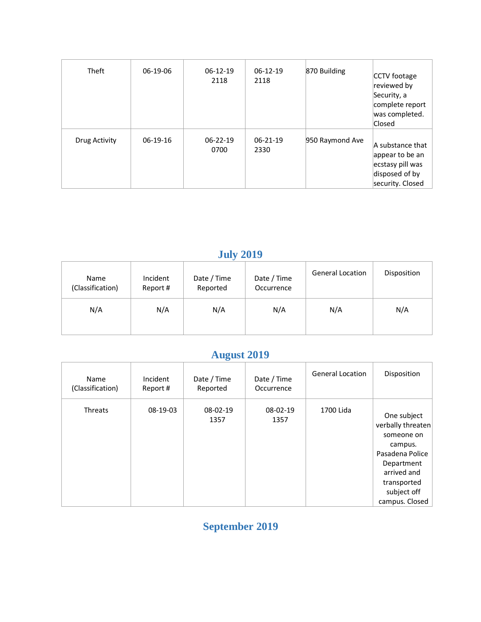| Theft         | 06-19-06   | $06-12-19$<br>2118     | $06-12-19$<br>2118 | 870 Building    | CCTV footage<br>reviewed by<br>Security, a<br>complete report<br>was completed.<br>Closed     |
|---------------|------------|------------------------|--------------------|-----------------|-----------------------------------------------------------------------------------------------|
| Drug Activity | $06-19-16$ | $06 - 22 - 19$<br>0700 | 06-21-19<br>2330   | 950 Raymond Ave | A substance that<br>appear to be an<br>ecstasy pill was<br>disposed of by<br>security. Closed |

# **July 2019**

| Name<br>(Classification) | Incident<br>Report# | Date / Time<br>Reported | Date / Time<br>Occurrence | <b>General Location</b> | Disposition |
|--------------------------|---------------------|-------------------------|---------------------------|-------------------------|-------------|
| N/A                      | N/A                 | N/A                     | N/A                       | N/A                     | N/A         |

# **August 2019**

| <b>Name</b><br>(Classification) | Incident<br>Report# | Date / Time<br>Reported | Date / Time<br>Occurrence | <b>General Location</b> | Disposition                                                                                                                                               |
|---------------------------------|---------------------|-------------------------|---------------------------|-------------------------|-----------------------------------------------------------------------------------------------------------------------------------------------------------|
| <b>Threats</b>                  | 08-19-03            | 08-02-19<br>1357        | 08-02-19<br>1357          | 1700 Lida               | One subject<br>verbally threaten<br>someone on<br>campus.<br>Pasadena Police<br>Department<br>arrived and<br>transported<br>subject off<br>campus. Closed |

**September 2019**